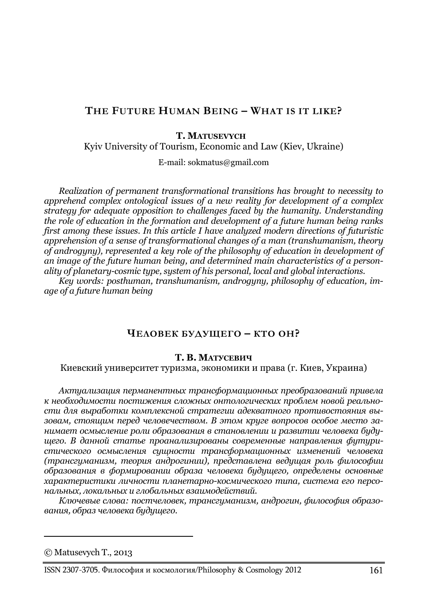#### **THE FUTURE HUMAN BEING – WHAT IS IT LIKE?**

#### **T. MATUSEVYCH**

Kyiv University of Tourism, Economic and Law (Kiev, Ukraine)

E-mail: sokmatus@gmail.com

*Realization of permanent transformational transitions has brought to necessity to apprehend complex ontological issues of a new reality for development of a complex strategy for adequate opposition to challenges faced by the humanity. Understanding the role of education in the formation and development of a future human being ranks first among these issues. In this article I have analyzed modern directions of futuristic apprehension of a sense of transformational changes of a man (transhumanism, theory of androgyny), represented a key role of the philosophy of education in development of an image of the future human being, and determined main characteristics of a personality of planetary-cosmic type, system of his personal, local and global interactions.* 

*Key words: posthuman, transhumanism, androgyny, philosophy of education, image of a future human being* 

#### **ЧЕЛОВЕК БУДУЩЕГО – КТО ОН?**

#### **Т. В. МАТУСЕВИЧ**

Киевский университет туризма, экономики и права (г. Киев, Украина)

*Актуализация перманентных трансформационных преобразований привела к необходимости постижения сложных онтологических проблем новой реальности для выработки комплексной стратегии адекватного противостояния вызовам, стоящим перед человечеством. В этом круге вопросов особое место занимает осмысление роли образования в становлении и развитии человека будущего. В данной статье проанализированы современные направления футуристического осмысления сущности трансформационных изменений человека (трансгуманизм, теория андрогинии), представлена ведущая роль философии образования в формировании образа человека будущего, определены основные характеристики личности планетарно-космического типа, система его персональных, локальных и глобальных взаимодействий.* 

*Ключевые слова: постчеловек, трансгуманизм, андрогин, философия образования, образ человека будущего.* 

j

<sup>©</sup> Matusevych T., 2013

ISSN 2307-3705. Философия и космология/Philosophy & Cosmology 2012 161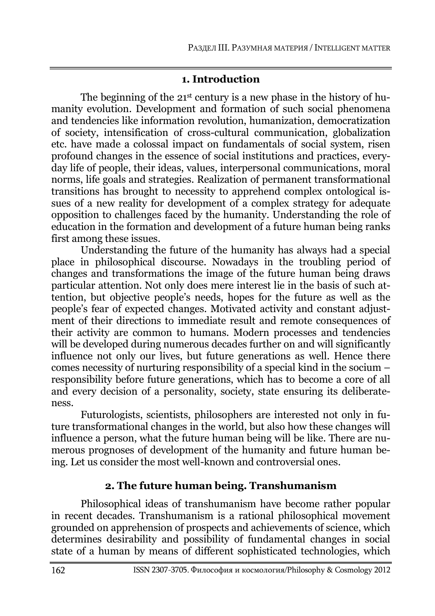### **1. Introduction**

The beginning of the 21<sup>st</sup> century is a new phase in the history of humanity evolution. Development and formation of such social phenomena and tendencies like information revolution, humanization, democratization of society, intensification of cross-cultural communication, globalization etc. have made a colossal impact on fundamentals of social system, risen profound changes in the essence of social institutions and practices, everyday life of people, their ideas, values, interpersonal communications, moral norms, life goals and strategies. Realization of permanent transformational transitions has brought to necessity to apprehend complex ontological issues of a new reality for development of a complex strategy for adequate opposition to challenges faced by the humanity. Understanding the role of education in the formation and development of a future human being ranks first among these issues.

Understanding the future of the humanity has always had a special place in philosophical discourse. Nowadays in the troubling period of changes and transformations the image of the future human being draws particular attention. Not only does mere interest lie in the basis of such attention, but objective people's needs, hopes for the future as well as the people's fear of expected changes. Motivated activity and constant adjustment of their directions to immediate result and remote consequences of their activity are common to humans. Modern processes and tendencies will be developed during numerous decades further on and will significantly influence not only our lives, but future generations as well. Hence there comes necessity of nurturing responsibility of a special kind in the socium – responsibility before future generations, which has to become a core of all and every decision of a personality, society, state ensuring its deliberateness.

Futurologists, scientists, philosophers are interested not only in future transformational changes in the world, but also how these changes will influence a person, what the future human being will be like. There are numerous prognoses of development of the humanity and future human being. Let us consider the most well-known and controversial ones.

### **2. The future human being. Transhumanism**

Philosophical ideas of transhumanism have become rather popular in recent decades. Transhumanism is a rational philosophical movement grounded on apprehension of prospects and achievements of science, which determines desirability and possibility of fundamental changes in social state of a human by means of different sophisticated technologies, which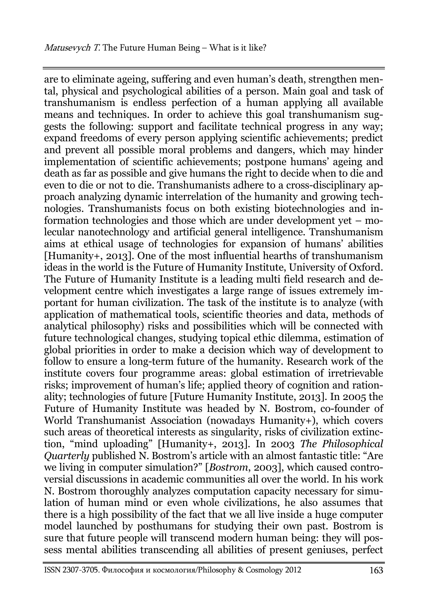are to eliminate ageing, suffering and even human's death, strengthen mental, physical and psychological abilities of a person. Main goal and task of transhumanism is endless perfection of a human applying all available means and techniques. In order to achieve this goal transhumanism suggests the following: support and facilitate technical progress in any way; expand freedoms of every person applying scientific achievements; predict and prevent all possible moral problems and dangers, which may hinder implementation of scientific achievements; postpone humans' ageing and death as far as possible and give humans the right to decide when to die and even to die or not to die. Transhumanists adhere to a cross-disciplinary approach analyzing dynamic interrelation of the humanity and growing technologies. Transhumanists focus on both existing biotechnologies and information technologies and those which are under development yet – molecular nanotechnology and artificial general intelligence. Transhumanism aims at ethical usage of technologies for expansion of humans' abilities [Humanity+, 2013]. One of the most influential hearths of transhumanism ideas in the world is the Future of Humanity Institute, University of Oxford. The Future of Humanity Institute is a leading multi field research and development centre which investigates a large range of issues extremely important for human civilization. The task of the institute is to analyze (with application of mathematical tools, scientific theories and data, methods of analytical philosophy) risks and possibilities which will be connected with future technological changes, studying topical ethic dilemma, estimation of global priorities in order to make a decision which way of development to follow to ensure a long-term future of the humanity. Research work of the institute covers four programme areas: global estimation of irretrievable risks; improvement of human's life; applied theory of cognition and rationality; technologies of future [Future Humanity Institute, 2013]. In 2005 the Future of Humanity Institute was headed by N. Bostrom, co-founder of World Transhumanist Association (nowadays Humanity+), which covers such areas of theoretical interests as singularity, risks of civilization extinction, "mind uploading" [Humanity+, 2013]. In 2003 *The Philosophical Quarterly* published N. Bostrom's article with an almost fantastic title: "Are we living in computer simulation?" [*Bostrom*, 2003], which caused controversial discussions in academic communities all over the world. In his work N. Bostrom thoroughly analyzes computation capacity necessary for simulation of human mind or even whole civilizations, he also assumes that there is a high possibility of the fact that we all live inside a huge computer model launched by posthumans for studying their own past. Bostrom is sure that future people will transcend modern human being: they will possess mental abilities transcending all abilities of present geniuses, perfect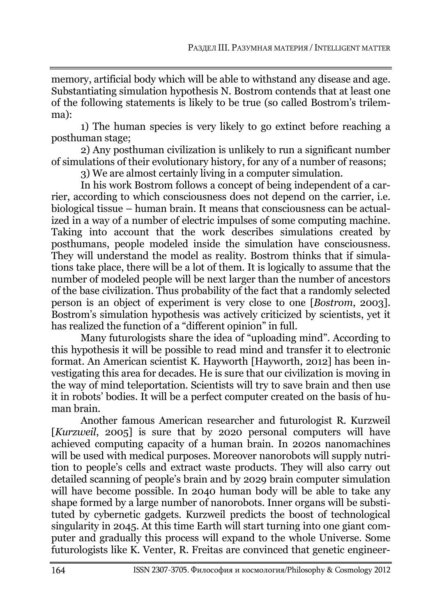memory, artificial body which will be able to withstand any disease and age. Substantiating simulation hypothesis N. Bostrom contends that at least one of the following statements is likely to be true (so called Bostrom's trilemma):

1) The human species is very likely to go extinct before reaching a posthuman stage;

2) Any posthuman civilization is unlikely to run a significant number of simulations of their evolutionary history, for any of a number of reasons;

3) We are almost certainly living in a computer simulation.

In his work Bostrom follows a concept of being independent of a carrier, according to which consciousness does not depend on the carrier, i.e. biological tissue – human brain. It means that consciousness can be actualized in a way of a number of electric impulses of some computing machine. Taking into account that the work describes simulations created by posthumans, people modeled inside the simulation have consciousness. They will understand the model as reality. Bostrom thinks that if simulations take place, there will be a lot of them. It is logically to assume that the number of modeled people will be next larger than the number of ancestors of the base civilization. Thus probability of the fact that a randomly selected person is an object of experiment is very close to one [*Bostrom*, 2003]. Bostrom's simulation hypothesis was actively criticized by scientists, yet it has realized the function of a "different opinion" in full.

Many futurologists share the idea of "uploading mind". According to this hypothesis it will be possible to read mind and transfer it to electronic format. An American scientist K. Hayworth [Hayworth, 2012] has been investigating this area for decades. He is sure that our civilization is moving in the way of mind teleportation. Scientists will try to save brain and then use it in robots' bodies. It will be a perfect computer created on the basis of human brain.

Another famous American researcher and futurologist R. Kurzweil [*Kurzweil*, 2005] is sure that by 2020 personal computers will have achieved computing capacity of a human brain. In 2020s nanomachines will be used with medical purposes. Moreover nanorobots will supply nutrition to people's cells and extract waste products. They will also carry out detailed scanning of people's brain and by 2029 brain computer simulation will have become possible. In 2040 human body will be able to take any shape formed by a large number of nanorobots. Inner organs will be substituted by cybernetic gadgets. Kurzweil predicts the boost of technological singularity in 2045. At this time Earth will start turning into one giant computer and gradually this process will expand to the whole Universe. Some futurologists like K. Venter, R. Freitas are convinced that genetic engineer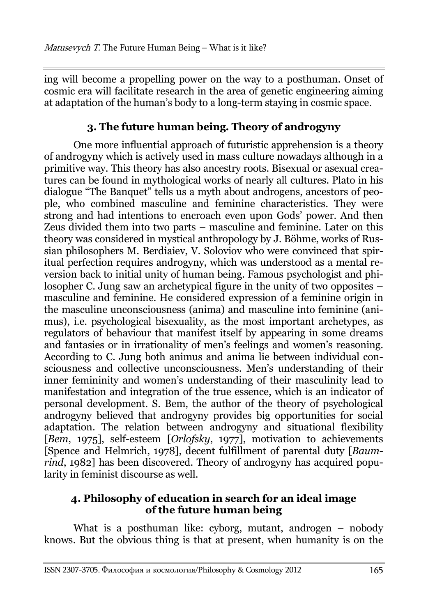ing will become a propelling power on the way to a posthuman. Onset of cosmic era will facilitate research in the area of genetic engineering aiming at adaptation of the human's body to a long-term staying in cosmic space.

## **3. The future human being. Theory of androgyny**

One more influential approach of futuristic apprehension is a theory of androgyny which is actively used in mass culture nowadays although in a primitive way. This theory has also ancestry roots. Bisexual or asexual creatures can be found in mythological works of nearly all cultures. Plato in his dialogue "The Banquet" tells us a myth about androgens, ancestors of people, who combined masculine and feminine characteristics. They were strong and had intentions to encroach even upon Gods' power. And then Zeus divided them into two parts – masculine and feminine. Later on this theory was considered in mystical anthropology by J. Böhme, works of Russian philosophers M. Berdiaiev, V. Soloviov who were convinced that spiritual perfection requires androgyny, which was understood as a mental reversion back to initial unity of human being. Famous psychologist and philosopher C. Jung saw an archetypical figure in the unity of two opposites – masculine and feminine. He considered expression of a feminine origin in the masculine unconsciousness (anima) and masculine into feminine (animus), i.e. psychological bisexuality, as the most important archetypes, as regulators of behaviour that manifest itself by appearing in some dreams and fantasies or in irrationality of men's feelings and women's reasoning. According to C. Jung both animus and anima lie between individual consciousness and collective unconsciousness. Men's understanding of their inner femininity and women's understanding of their masculinity lead to manifestation and integration of the true essence, which is an indicator of personal development. S. Bem, the author of the theory of psychological androgyny believed that androgyny provides big opportunities for social adaptation. The relation between androgyny and situational flexibility [*Bem*, 1975], self-esteem [*Orlofsky*, 1977], motivation to achievements [Spence and Helmrich, 1978], decent fulfillment of parental duty [*Baumrind*, 1982] has been discovered. Theory of androgyny has acquired popularity in feminist discourse as well.

### **4. Philosophy of education in search for an ideal image of the future human being**

What is a posthuman like: cyborg, mutant, androgen – nobody knows. But the obvious thing is that at present, when humanity is on the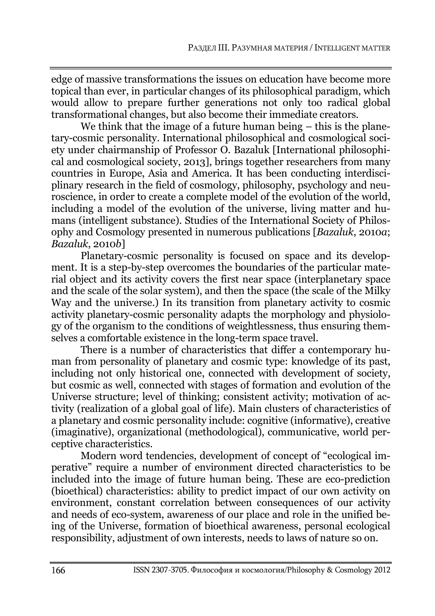edge of massive transformations the issues on education have become more topical than ever, in particular changes of its philosophical paradigm, which would allow to prepare further generations not only too radical global transformational changes, but also become their immediate creators.

We think that the image of a future human being – this is the planetary-cosmic personality. International philosophical and cosmological society under chairmanship of Professor O. Bazaluk [International philosophical and cosmological society, 2013], brings together researchers from many countries in Europe, Asia and America. It has been conducting interdisciplinary research in the field of cosmology, philosophy, psychology and neuroscience, in order to create a complete model of the evolution of the world, including a model of the evolution of the universe, living matter and humans (intelligent substance). Studies of the International Society of Philosophy and Cosmology presented in numerous publications [*Bazaluk*, 2010*a*; *Bazaluk*, 2010*b*]

Planetary-cosmic personality is focused on space and its development. It is a step-by-step overcomes the boundaries of the particular material object and its activity covers the first near space (interplanetary space and the scale of the solar system), and then the space (the scale of the Milky Way and the universe.) In its transition from planetary activity to cosmic activity planetary-cosmic personality adapts the morphology and physiology of the organism to the conditions of weightlessness, thus ensuring themselves a comfortable existence in the long-term space travel.

There is a number of characteristics that differ a contemporary human from personality of planetary and cosmic type: knowledge of its past, including not only historical one, connected with development of society, but cosmic as well, connected with stages of formation and evolution of the Universe structure; level of thinking; consistent activity; motivation of activity (realization of a global goal of life). Мain clusters of characteristics of a planetary and cosmic personality include: cognitive (informative), creative (imaginative), organizational (methodological), communicative, world perceptive characteristics.

Modern word tendencies, development of concept of "ecological imperative" require a number of environment directed characteristics to be included into the image of future human being. These are eco-prediction (bioethical) characteristics: ability to predict impact of our own activity on environment, constant correlation between consequences of our activity and needs of eco-system, awareness of our place and role in the unified being of the Universe, formation of bioethical awareness, personal ecological responsibility, adjustment of own interests, needs to laws of nature so on.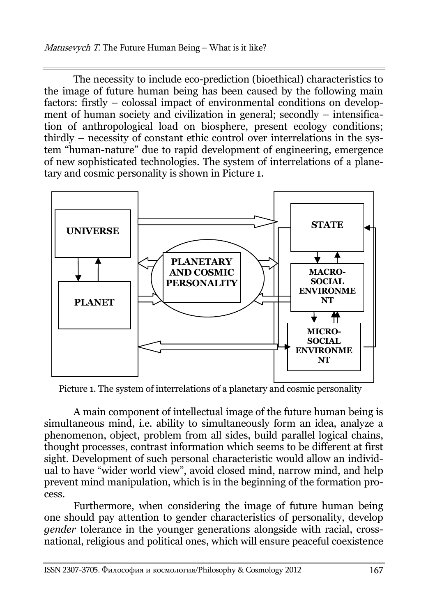The necessity to include eco-prediction (bioethical) characteristics to the image of future human being has been caused by the following main factors: firstly – colossal impact of environmental conditions on development of human society and civilization in general; secondly – intensification of anthropological load on biosphere, present ecology conditions; thirdly – necessity of constant ethic control over interrelations in the system "human-nature" due to rapid development of engineering, emergence of new sophisticated technologies. The system of interrelations of a planetary and cosmic personality is shown in Picture 1.



Picture 1. The system of interrelations of a planetary and cosmic personality

A main component of intellectual image of the future human being is simultaneous mind, i.e. ability to simultaneously form an idea, analyze a phenomenon, object, problem from all sides, build parallel logical chains, thought processes, contrast information which seems to be different at first sight. Development of such personal characteristic would allow an individual to have "wider world view", avoid closed mind, narrow mind, and help prevent mind manipulation, which is in the beginning of the formation process.

Furthermore, when considering the image of future human being one should pay attention to gender characteristics of personality, develop *gender* tolerance in the younger generations alongside with racial, crossnational, religious and political ones, which will ensure peaceful coexistence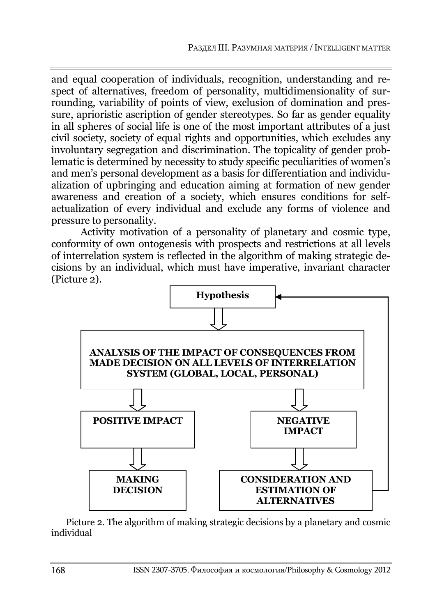and equal cooperation of individuals, recognition, understanding and respect of alternatives, freedom of personality, multidimensionality of surrounding, variability of points of view, exclusion of domination and pressure, aprioristic ascription of gender stereotypes. So far as gender equality in all spheres of social life is one of the most important attributes of a just civil society, society of equal rights and opportunities, which excludes any involuntary segregation and discrimination. The topicality of gender problematic is determined by necessity to study specific peculiarities of women's and men's personal development as a basis for differentiation and individualization of upbringing and education aiming at formation of new gender awareness and creation of a society, which ensures conditions for selfactualization of every individual and exclude any forms of violence and pressure to personality.

Activity motivation of a personality of planetary and cosmic type, conformity of own ontogenesis with prospects and restrictions at all levels of interrelation system is reflected in the algorithm of making strategic decisions by an individual, which must have imperative, invariant character (Picture 2).



Picture 2. The algorithm of making strategic decisions by a planetary and cosmic individual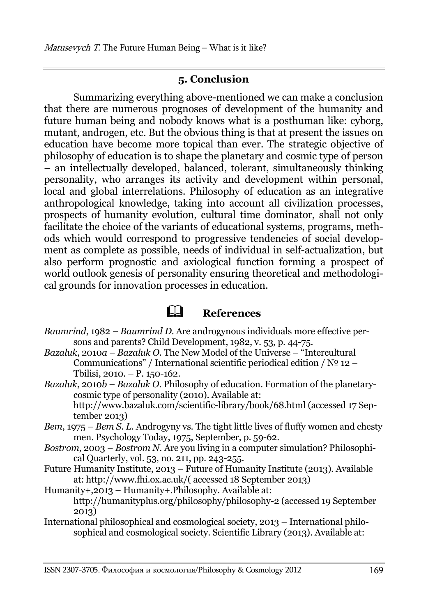### **5. Conclusion**

Summarizing everything above-mentioned we can make a conclusion that there are numerous prognoses of development of the humanity and future human being and nobody knows what is a posthuman like: cyborg, mutant, androgen, etc. But the obvious thing is that at present the issues on education have become more topical than ever. The strategic objective of philosophy of education is to shape the planetary and cosmic type of person – an intellectually developed, balanced, tolerant, simultaneously thinking personality, who arranges its activity and development within personal, local and global interrelations. Philosophy of education as an integrative anthropological knowledge, taking into account all civilization processes, prospects of humanity evolution, cultural time dominator, shall not only facilitate the choice of the variants of educational systems, programs, methods which would correspond to progressive tendencies of social development as complete as possible, needs of individual in self-actualization, but also perform prognostic and axiological function forming a prospect of world outlook genesis of personality ensuring theoretical and methodological grounds for innovation processes in education.

# **References**

- *Baumrind*, 1982 *Baumrind D.* Are androgynous individuals more effective persons and parents? Child Development, 1982, v. 53, p. 44-75.
- *Bazaluk*, 2010*a Bazaluk O.* The New Model of the Universe "Intercultural Communications" / International scientific periodical edition /  $N^{\circ}$  12 – Tbilisi, 2010. – P. 150-162.
- *Bazaluk*, 2010*b Bazaluk O.* Philosophy of education. Formation of the planetarycosmic type of personality (2010). Available at: http://www.bazaluk.com/scientific-library/book/68.html (accessed 17 September 2013)
- *Bem*, 1975 *Bem S. L.* Androgyny vs. The tight little lives of fluffy women and chesty men. Psychology Today, 1975, September, p. 59-62.
- *Bostrom*, 2003 *Bostrom N.* Are you living in a computer simulation? Philosophical Quarterly, vol. 53, no. 211, pp. 243-255.
- Future Humanity Institute, 2013 Future of Humanity Institute (2013). Available at: http://www.fhi.ox.ac.uk/( accessed 18 September 2013)
- Humanity+,2013 Humanity+.Philosophy. Available at: http://humanityplus.org/philosophy/philosophy-2 (accessed 19 September 2013)
- International philosophical and cosmological society, 2013 International philosophical and cosmological society. Scientific Library (2013). Available at: